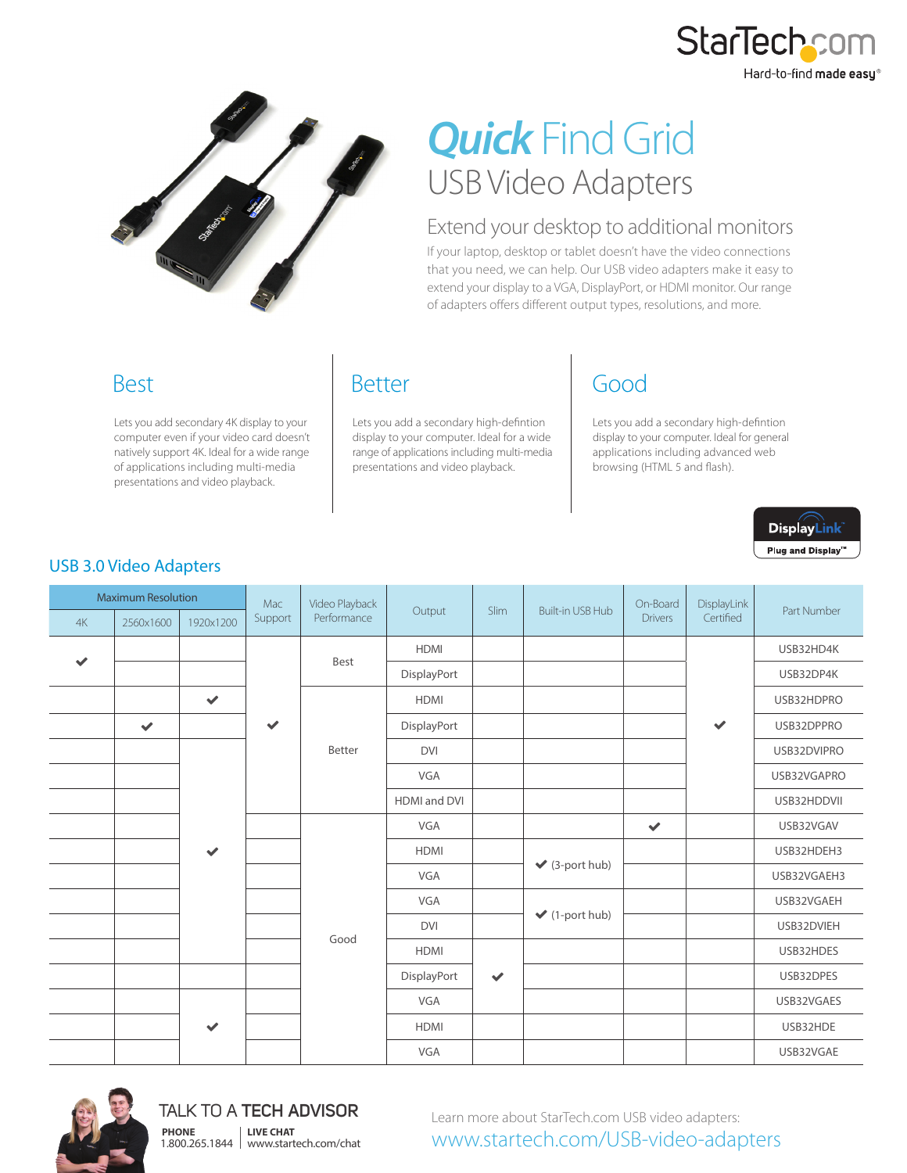



# *Quick* Find Grid USB Video Adapters

### Extend your desktop to additional monitors

If your laptop, desktop or tablet doesn't have the video connections that you need, we can help. Our USB video adapters make it easy to extend your display to a VGA, DisplayPort, or HDMI monitor. Our range of adapters offers different output types, resolutions, and more.

## Best

Lets you add secondary 4K display to your computer even if your video card doesn't natively support 4K. Ideal for a wide range of applications including multi-media presentations and video playback.

## Better

Lets you add a secondary high-defintion display to your computer. Ideal for a wide range of applications including multi-media presentations and video playback.

# Good

Lets you add a secondary high-defintion display to your computer. Ideal for general applications including advanced web browsing (HTML 5 and flash).



#### USB 3.0 Video Adapters

| <b>Maximum Resolution</b> |              |              | Mac          | Video Playback |                     |              |                                    | On-Board       | DisplayLink  |             |
|---------------------------|--------------|--------------|--------------|----------------|---------------------|--------------|------------------------------------|----------------|--------------|-------------|
| 4K                        | 2560x1600    | 1920x1200    | Support      | Performance    | Output              | Slim         | <b>Built-in USB Hub</b>            | <b>Drivers</b> | Certified    | Part Number |
|                           |              |              |              | Best           | <b>HDMI</b>         |              |                                    |                | $\checkmark$ | USB32HD4K   |
| $\checkmark$              |              |              |              |                | DisplayPort         |              |                                    |                |              | USB32DP4K   |
|                           |              | $\checkmark$ |              |                | <b>HDMI</b>         |              |                                    |                |              | USB32HDPRO  |
|                           | $\checkmark$ |              | $\checkmark$ |                | DisplayPort         |              |                                    |                |              | USB32DPPRO  |
|                           |              |              |              | Better         | <b>DVI</b>          |              |                                    |                |              | USB32DVIPRO |
|                           |              |              |              |                | VGA                 |              |                                    |                |              | USB32VGAPRO |
|                           |              |              |              |                | <b>HDMI</b> and DVI |              |                                    |                |              | USB32HDDVII |
|                           |              |              |              | Good           | VGA                 |              |                                    | $\checkmark$   |              | USB32VGAV   |
|                           |              | $\checkmark$ |              |                | <b>HDMI</b>         |              | $\blacktriangleright$ (3-port hub) |                |              | USB32HDEH3  |
|                           |              |              |              |                | VGA                 |              |                                    |                |              | USB32VGAEH3 |
|                           |              |              |              |                | VGA                 |              | $\blacktriangleright$ (1-port hub) |                |              | USB32VGAEH  |
|                           |              |              |              |                | <b>DVI</b>          |              |                                    |                |              | USB32DVIEH  |
|                           |              |              |              |                | <b>HDMI</b>         |              |                                    |                |              | USB32HDES   |
|                           |              |              |              |                | DisplayPort         | $\checkmark$ |                                    |                |              | USB32DPES   |
|                           |              |              |              |                | VGA                 |              |                                    |                |              | USB32VGAES  |
|                           |              | $\checkmark$ |              |                | <b>HDMI</b>         |              |                                    |                |              | USB32HDE    |
|                           |              |              |              |                | VGA                 |              |                                    |                |              | USB32VGAE   |



TALK TO A **TECH ADVISOR** 1.800.265.1844 www.startech.com/chat **PHONE LIVE CHAT**

Learn more about StarTech.com USB video adapters: www.startech.com/USB-video-adapters